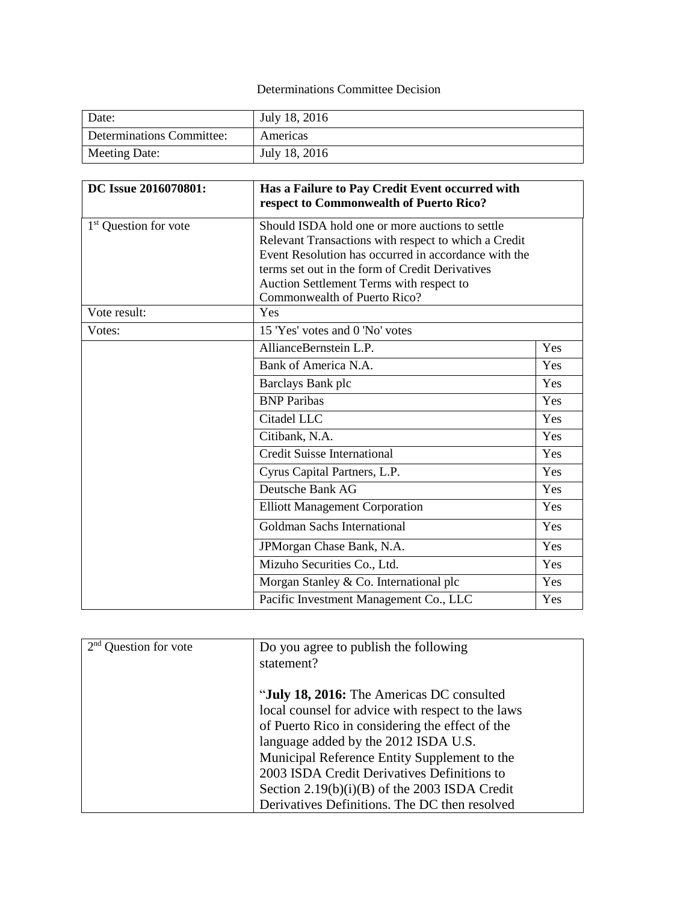## Determinations Committee Decision

| Date:                     | July 18, 2016 |
|---------------------------|---------------|
| Determinations Committee: | Americas      |
| Meeting Date:             | July 18, 2016 |

| DC Issue 2016070801:              | Has a Failure to Pay Credit Event occurred with<br>respect to Commonwealth of Puerto Rico?                                                                                                                                                                     |     |
|-----------------------------------|----------------------------------------------------------------------------------------------------------------------------------------------------------------------------------------------------------------------------------------------------------------|-----|
| 1 <sup>st</sup> Question for vote | Should ISDA hold one or more auctions to settle<br>Relevant Transactions with respect to which a Credit<br>Event Resolution has occurred in accordance with the<br>terms set out in the form of Credit Derivatives<br>Auction Settlement Terms with respect to |     |
| Vote result:                      | Commonwealth of Puerto Rico?<br>Yes                                                                                                                                                                                                                            |     |
| Votes:                            | 15 'Yes' votes and 0 'No' votes                                                                                                                                                                                                                                |     |
|                                   | AllianceBernstein L.P.                                                                                                                                                                                                                                         | Yes |
|                                   | Bank of America N.A.                                                                                                                                                                                                                                           | Yes |
|                                   | Barclays Bank plc                                                                                                                                                                                                                                              | Yes |
|                                   | <b>BNP</b> Paribas                                                                                                                                                                                                                                             | Yes |
|                                   | Citadel LLC                                                                                                                                                                                                                                                    | Yes |
|                                   | Citibank, N.A.                                                                                                                                                                                                                                                 | Yes |
|                                   | <b>Credit Suisse International</b>                                                                                                                                                                                                                             | Yes |
|                                   | Cyrus Capital Partners, L.P.                                                                                                                                                                                                                                   | Yes |
|                                   | Deutsche Bank AG                                                                                                                                                                                                                                               | Yes |
|                                   | <b>Elliott Management Corporation</b>                                                                                                                                                                                                                          | Yes |
|                                   | Goldman Sachs International                                                                                                                                                                                                                                    | Yes |
|                                   | JPMorgan Chase Bank, N.A.                                                                                                                                                                                                                                      | Yes |
|                                   | Mizuho Securities Co., Ltd.                                                                                                                                                                                                                                    | Yes |
|                                   | Morgan Stanley & Co. International plc                                                                                                                                                                                                                         | Yes |
|                                   | Pacific Investment Management Co., LLC                                                                                                                                                                                                                         | Yes |

| 2 <sub>nd</sub><br>Question for vote | Do you agree to publish the following             |
|--------------------------------------|---------------------------------------------------|
|                                      | statement?                                        |
|                                      | "July 18, 2016: The Americas DC consulted         |
|                                      | local counsel for advice with respect to the laws |
|                                      | of Puerto Rico in considering the effect of the   |
|                                      | language added by the 2012 ISDA U.S.              |
|                                      | Municipal Reference Entity Supplement to the      |
|                                      | 2003 ISDA Credit Derivatives Definitions to       |
|                                      | Section $2.19(b)(i)(B)$ of the 2003 ISDA Credit   |
|                                      | Derivatives Definitions. The DC then resolved     |